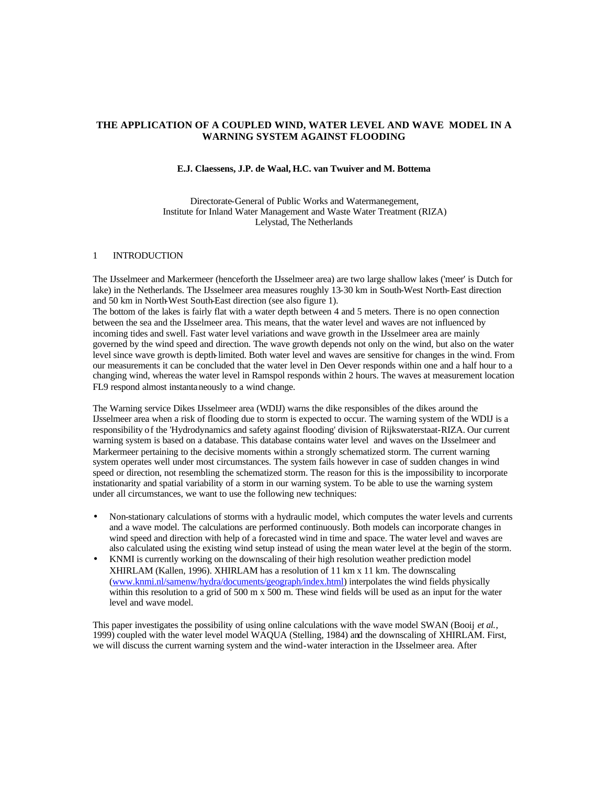# **THE APPLICATION OF A COUPLED WIND, WATER LEVEL AND WAVE MODEL IN A WARNING SYSTEM AGAINST FLOODING**

## **E.J. Claessens, J.P. de Waal, H.C. van Twuiver and M. Bottema**

Directorate-General of Public Works and Watermanegement, Institute for Inland Water Management and Waste Water Treatment (RIZA) Lelystad, The Netherlands

### 1 INTRODUCTION

The IJsselmeer and Markermeer (henceforth the IJsselmeer area) are two large shallow lakes ('meer' is Dutch for lake) in the Netherlands. The IJsselmeer area measures roughly 13-30 km in South-West North-East direction and 50 km in North-West South-East direction (see also figure 1).

The bottom of the lakes is fairly flat with a water depth between 4 and 5 meters. There is no open connection between the sea and the IJsselmeer area. This means, that the water level and waves are not influenced by incoming tides and swell. Fast water level variations and wave growth in the IJsselmeer area are mainly governed by the wind speed and direction. The wave growth depends not only on the wind, but also on the water level since wave growth is depth-limited. Both water level and waves are sensitive for changes in the wind. From our measurements it can be concluded that the water level in Den Oever responds within one and a half hour to a changing wind, whereas the water level in Ramspol responds within 2 hours. The waves at measurement location FL9 respond almost instantaneously to a wind change.

The Warning service Dikes IJsselmeer area (WDIJ) warns the dike responsibles of the dikes around the IJsselmeer area when a risk of flooding due to storm is expected to occur. The warning system of the WDIJ is a responsibility of the 'Hydrodynamics and safety against flooding' division of Rijkswaterstaat-RIZA. Our current warning system is based on a database. This database contains water level and waves on the IJsselmeer and Markermeer pertaining to the decisive moments within a strongly schematized storm. The current warning system operates well under most circumstances. The system fails however in case of sudden changes in wind speed or direction, not resembling the schematized storm. The reason for this is the impossibility to incorporate instationarity and spatial variability of a storm in our warning system. To be able to use the warning system under all circumstances, we want to use the following new techniques:

- Non-stationary calculations of storms with a hydraulic model, which computes the water levels and currents and a wave model. The calculations are performed continuously. Both models can incorporate changes in wind speed and direction with help of a forecasted wind in time and space. The water level and waves are also calculated using the existing wind setup instead of using the mean water level at the begin of the storm.
- KNMI is currently working on the downscaling of their high resolution weather prediction model XHIRLAM (Kallen, 1996). XHIRLAM has a resolution of 11 km x 11 km. The downscaling (www.knmi.nl/samenw/hydra/documents/geograph/index.html) interpolates the wind fields physically within this resolution to a grid of 500 m x 500 m. These wind fields will be used as an input for the water level and wave model.

This paper investigates the possibility of using online calculations with the wave model SWAN (Booij *et al.*, 1999) coupled with the water level model WAQUA (Stelling, 1984) and the downscaling of XHIRLAM. First, we will discuss the current warning system and the wind-water interaction in the IJsselmeer area. After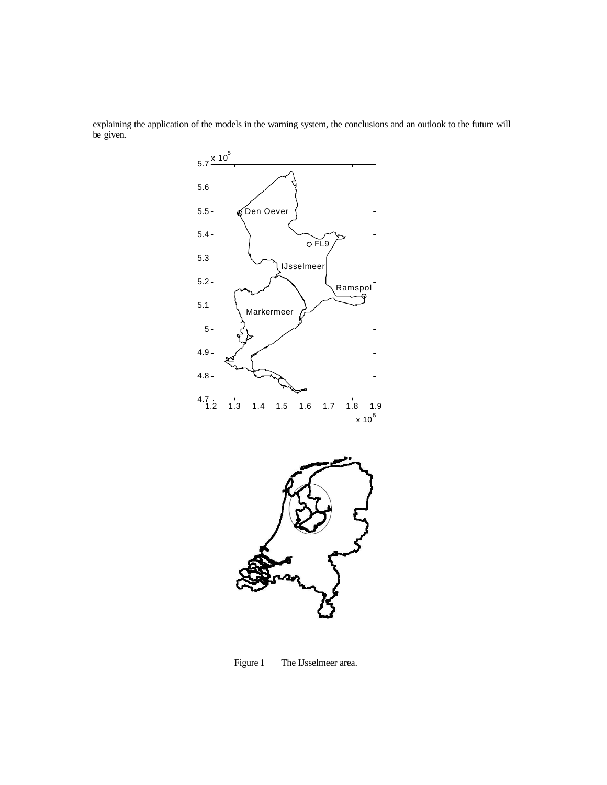explaining the application of the models in the warning system, the conclusions and an outlook to the future will be given.



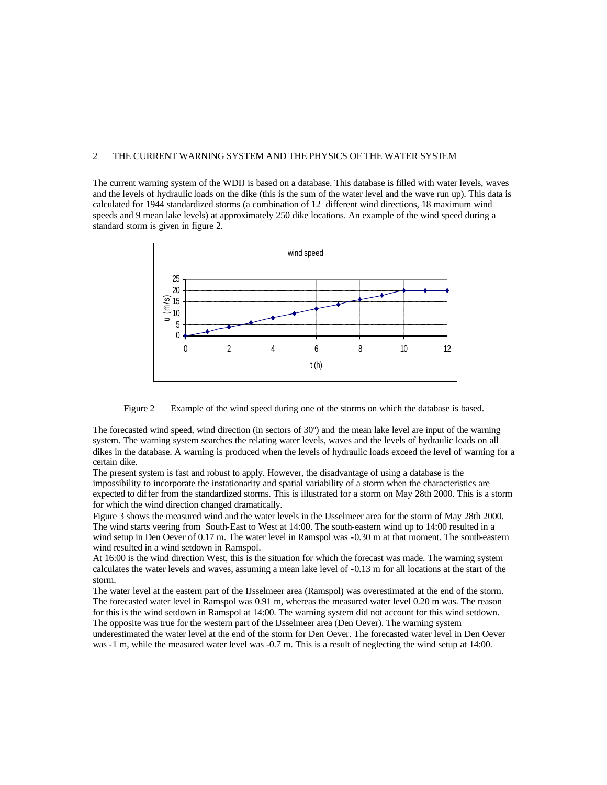## 2 THE CURRENT WARNING SYSTEM AND THE PHYSICS OF THE WATER SYSTEM

The current warning system of the WDIJ is based on a database. This database is filled with water levels, waves and the levels of hydraulic loads on the dike (this is the sum of the water level and the wave run up). This data is calculated for 1944 standardized storms (a combination of 12 different wind directions, 18 maximum wind speeds and 9 mean lake levels) at approximately 250 dike locations. An example of the wind speed during a standard storm is given in figure 2.



Figure 2 Example of the wind speed during one of the storms on which the database is based.

The forecasted wind speed, wind direction (in sectors of 30º) and the mean lake level are input of the warning system. The warning system searches the relating water levels, waves and the levels of hydraulic loads on all dikes in the database. A warning is produced when the levels of hydraulic loads exceed the level of warning for a certain dike.

The present system is fast and robust to apply. However, the disadvantage of using a database is the impossibility to incorporate the instationarity and spatial variability of a storm when the characteristics are expected to differ from the standardized storms. This is illustrated for a storm on May 28th 2000. This is a storm for which the wind direction changed dramatically.

Figure 3 shows the measured wind and the water levels in the IJsselmeer area for the storm of May 28th 2000. The wind starts veering from South-East to West at 14:00. The south-eastern wind up to 14:00 resulted in a wind setup in Den Oever of 0.17 m. The water level in Ramspol was -0.30 m at that moment. The south-eastern wind resulted in a wind setdown in Ramspol.

At 16:00 is the wind direction West, this is the situation for which the forecast was made. The warning system calculates the water levels and waves, assuming a mean lake level of -0.13 m for all locations at the start of the storm.

The water level at the eastern part of the IJsselmeer area (Ramspol) was overestimated at the end of the storm. The forecasted water level in Ramspol was 0.91 m, whereas the measured water level 0.20 m was. The reason for this is the wind setdown in Ramspol at 14:00. The warning system did not account for this wind setdown. The opposite was true for the western part of the IJsselmeer area (Den Oever). The warning system underestimated the water level at the end of the storm for Den Oever. The forecasted water level in Den Oever was -1 m, while the measured water level was -0.7 m. This is a result of neglecting the wind setup at 14:00.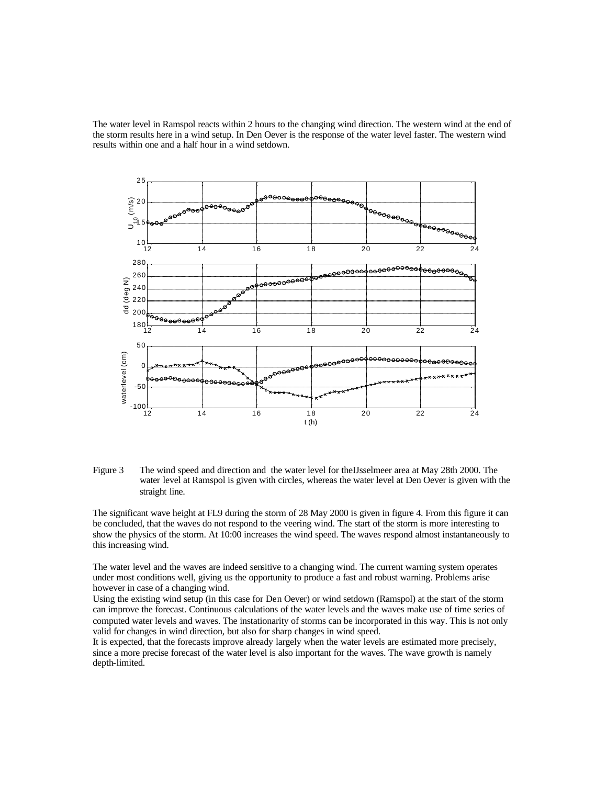The water level in Ramspol reacts within 2 hours to the changing wind direction. The western wind at the end of the storm results here in a wind setup. In Den Oever is the response of the water level faster. The western wind results within one and a half hour in a wind setdown.



Figure 3 The wind speed and direction and the water level for theIJsselmeer area at May 28th 2000. The water level at Ramspol is given with circles, whereas the water level at Den Oever is given with the straight line.

The significant wave height at FL9 during the storm of 28 May 2000 is given in figure 4. From this figure it can be concluded, that the waves do not respond to the veering wind. The start of the storm is more interesting to show the physics of the storm. At 10:00 increases the wind speed. The waves respond almost instantaneously to this increasing wind.

The water level and the waves are indeed sensitive to a changing wind. The current warning system operates under most conditions well, giving us the opportunity to produce a fast and robust warning. Problems arise however in case of a changing wind.

Using the existing wind setup (in this case for Den Oever) or wind setdown (Ramspol) at the start of the storm can improve the forecast. Continuous calculations of the water levels and the waves make use of time series of computed water levels and waves. The instationarity of storms can be incorporated in this way. This is not only valid for changes in wind direction, but also for sharp changes in wind speed.

It is expected, that the forecasts improve already largely when the water levels are estimated more precisely, since a more precise forecast of the water level is also important for the waves. The wave growth is namely depth-limited.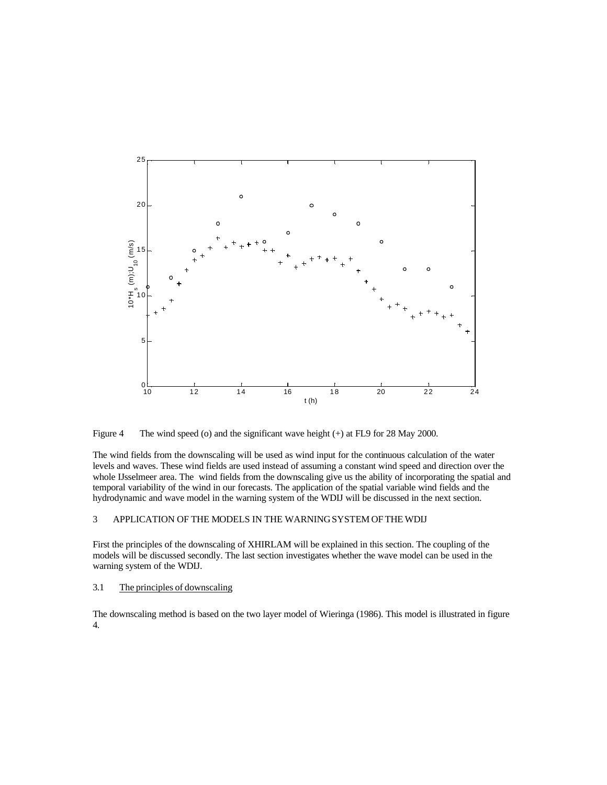

Figure 4 The wind speed (o) and the significant wave height (+) at FL9 for 28 May 2000.

The wind fields from the downscaling will be used as wind input for the continuous calculation of the water levels and waves. These wind fields are used instead of assuming a constant wind speed and direction over the whole IJsselmeer area. The wind fields from the downscaling give us the ability of incorporating the spatial and temporal variability of the wind in our forecasts. The application of the spatial variable wind fields and the hydrodynamic and wave model in the warning system of the WDIJ will be discussed in the next section.

## 3 APPLICATION OF THE MODELS IN THE WARNING SYSTEM OF THE WDIJ

First the principles of the downscaling of XHIRLAM will be explained in this section. The coupling of the models will be discussed secondly. The last section investigates whether the wave model can be used in the warning system of the WDIJ.

### 3.1 The principles of downscaling

The downscaling method is based on the two layer model of Wieringa (1986). This model is illustrated in figure 4.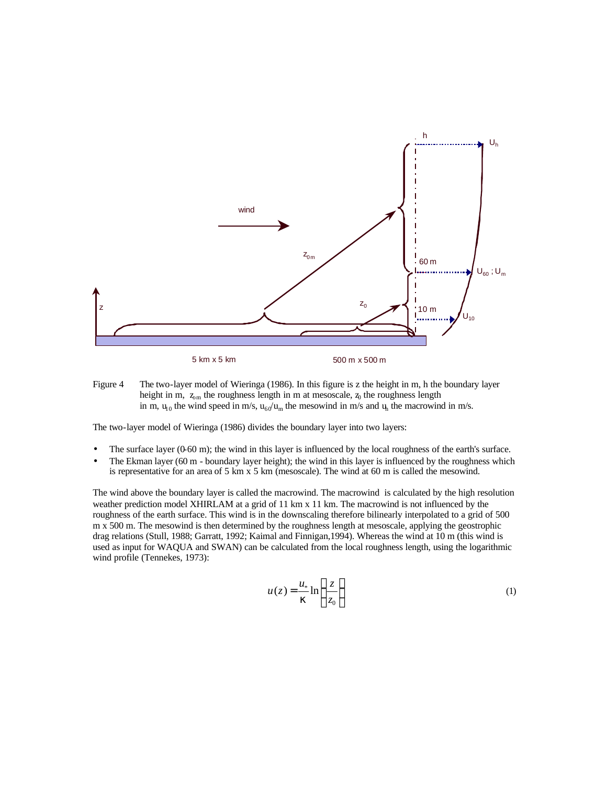

Figure 4 The two-layer model of Wieringa (1986). In this figure is z the height in m, h the boundary layer height in m,  $z_{\text{om}}$  the roughness length in m at mesoscale,  $z_0$  the roughness length in m,  $u_{10}$  the wind speed in m/s,  $u_{60}/u_m$  the mesowind in m/s and  $u_h$  the macrowind in m/s.

The two-layer model of Wieringa (1986) divides the boundary layer into two layers:

- The surface layer  $(0.60 \text{ m})$ ; the wind in this layer is influenced by the local roughness of the earth's surface.
- The Ekman layer (60 m boundary layer height); the wind in this layer is influenced by the roughness which is representative for an area of 5 km x 5 km (mesoscale). The wind at 60 m is called the mesowind.

The wind above the boundary layer is called the macrowind. The macrowind is calculated by the high resolution weather prediction model XHIRLAM at a grid of 11 km x 11 km. The macrowind is not influenced by the roughness of the earth surface. This wind is in the downscaling therefore bilinearly interpolated to a grid of 500 m x 500 m. The mesowind is then determined by the roughness length at mesoscale, applying the geostrophic drag relations (Stull, 1988; Garratt, 1992; Kaimal and Finnigan,1994). Whereas the wind at 10 m (this wind is used as input for WAQUA and SWAN) can be calculated from the local roughness length, using the logarithmic wind profile (Tennekes, 1973):

$$
u(z) = \frac{u_*}{k} \ln\left(\frac{z}{z_0}\right) \tag{1}
$$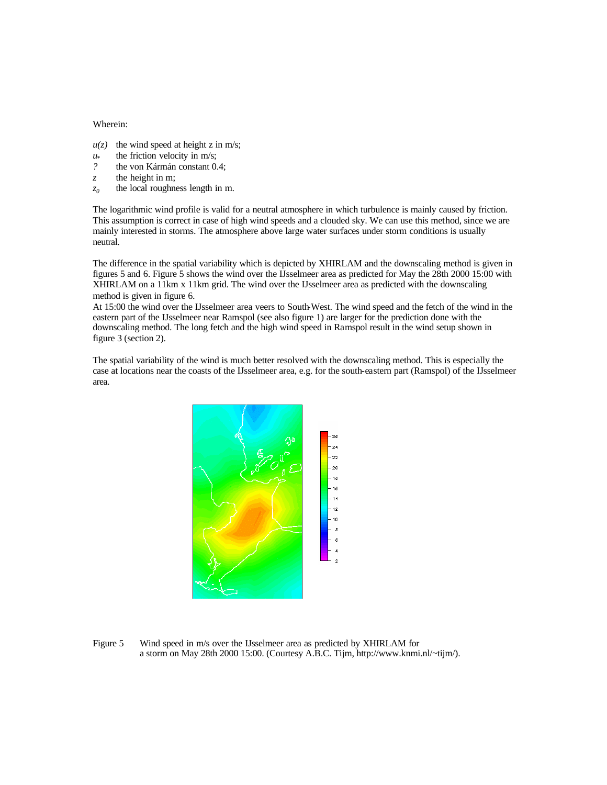#### Wherein:

- $u(z)$  the wind speed at height z in m/s;
- *u\** the friction velocity in m/s;
- *?* the von Kármán constant 0.4;
- z the height in m;
- *z0* the local roughness length in m.

The logarithmic wind profile is valid for a neutral atmosphere in which turbulence is mainly caused by friction. This assumption is correct in case of high wind speeds and a clouded sky. We can use this method, since we are mainly interested in storms. The atmosphere above large water surfaces under storm conditions is usually neutral.

The difference in the spatial variability which is depicted by XHIRLAM and the downscaling method is given in figures 5 and 6. Figure 5 shows the wind over the IJsselmeer area as predicted for May the 28th 2000 15:00 with XHIRLAM on a 11km x 11km grid. The wind over the IJsselmeer area as predicted with the downscaling method is given in figure 6.

At 15:00 the wind over the IJsselmeer area veers to South-West. The wind speed and the fetch of the wind in the eastern part of the IJsselmeer near Ramspol (see also figure 1) are larger for the prediction done with the downscaling method. The long fetch and the high wind speed in Ramspol result in the wind setup shown in figure 3 (section 2).

The spatial variability of the wind is much better resolved with the downscaling method. This is especially the case at locations near the coasts of the IJsselmeer area, e.g. for the south-eastern part (Ramspol) of the IJsselmeer area.



Figure 5 Wind speed in m/s over the IJsselmeer area as predicted by XHIRLAM for a storm on May 28th 2000 15:00. (Courtesy A.B.C. Tijm, http://www.knmi.nl/~tijm/).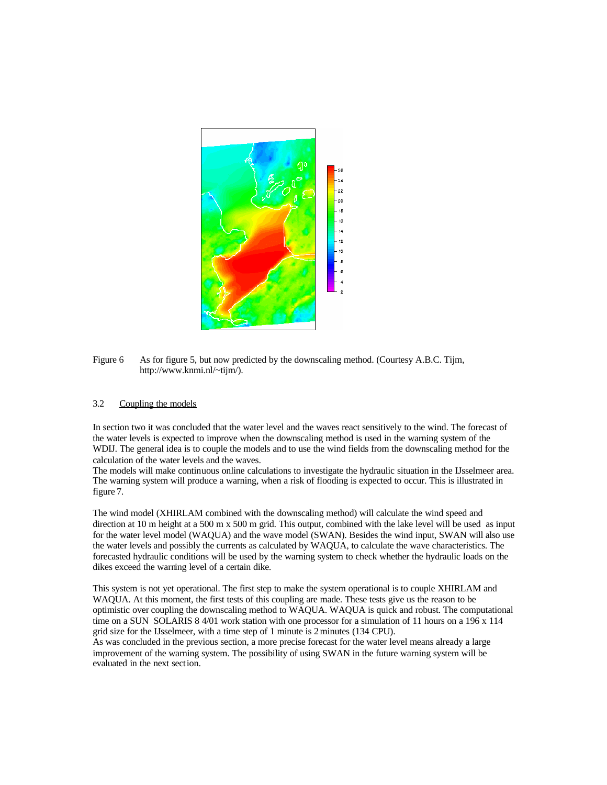

Figure 6 As for figure 5, but now predicted by the downscaling method. (Courtesy A.B.C. Tijm, http://www.knmi.nl/~tijm/).

### 3.2 Coupling the models

In section two it was concluded that the water level and the waves react sensitively to the wind. The forecast of the water levels is expected to improve when the downscaling method is used in the warning system of the WDIJ. The general idea is to couple the models and to use the wind fields from the downscaling method for the calculation of the water levels and the waves.

The models will make continuous online calculations to investigate the hydraulic situation in the IJsselmeer area. The warning system will produce a warning, when a risk of flooding is expected to occur. This is illustrated in figure 7.

The wind model (XHIRLAM combined with the downscaling method) will calculate the wind speed and direction at 10 m height at a 500 m x 500 m grid. This output, combined with the lake level will be used as input for the water level model (WAQUA) and the wave model (SWAN). Besides the wind input, SWAN will also use the water levels and possibly the currents as calculated by WAQUA, to calculate the wave characteristics. The forecasted hydraulic conditions will be used by the warning system to check whether the hydraulic loads on the dikes exceed the warning level of a certain dike.

This system is not yet operational. The first step to make the system operational is to couple XHIRLAM and WAQUA. At this moment, the first tests of this coupling are made. These tests give us the reason to be optimistic over coupling the downscaling method to WAQUA. WAQUA is quick and robust. The computational time on a SUN SOLARIS 8 4/01 work station with one processor for a simulation of 11 hours on a 196 x 114 grid size for the IJsselmeer, with a time step of 1 minute is 2 minutes (134 CPU).

As was concluded in the previous section, a more precise forecast for the water level means already a large improvement of the warning system. The possibility of using SWAN in the future warning system will be evaluated in the next section.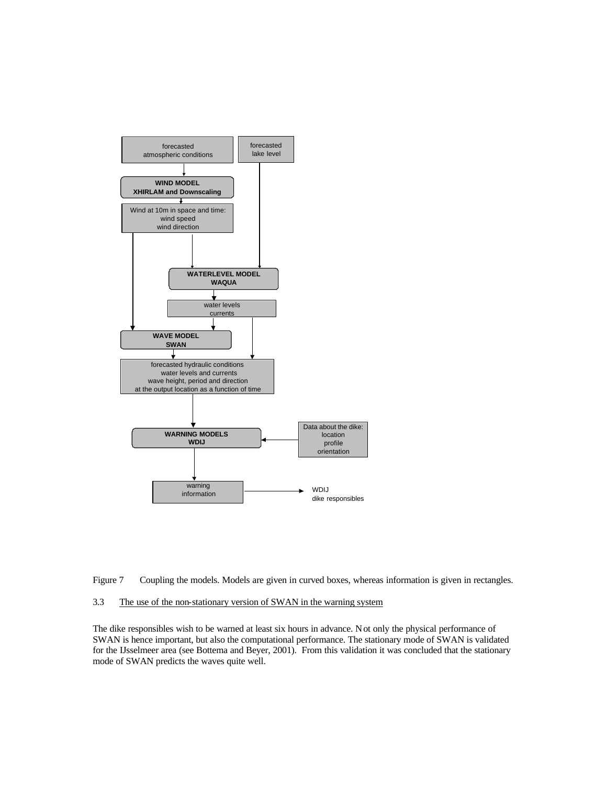



#### 3.3 The use of the non-stationary version of SWAN in the warning system

The dike responsibles wish to be warned at least six hours in advance. Not only the physical performance of SWAN is hence important, but also the computational performance. The stationary mode of SWAN is validated for the IJsselmeer area (see Bottema and Beyer, 2001). From this validation it was concluded that the stationary mode of SWAN predicts the waves quite well.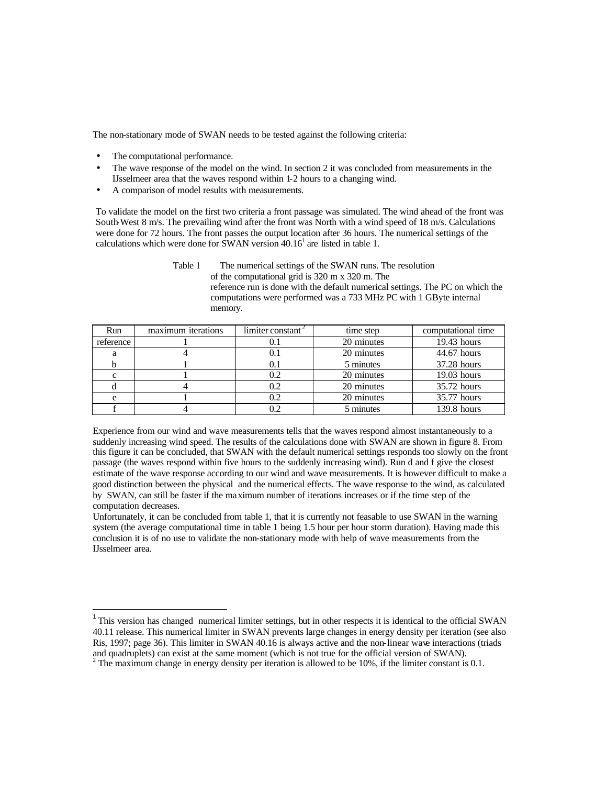The non-stationary mode of SWAN needs to be tested against the following criteria:

The computational performance.

 $\overline{a}$ 

- The wave response of the model on the wind. In section 2 it was concluded from measurements in the IJsselmeer area that the waves respond within 1-2 hours to a changing wind.
- A comparison of model results with measurements.

To validate the model on the first two criteria a front passage was simulated. The wind ahead of the front was South-West 8 m/s. The prevailing wind after the front was North with a wind speed of 18 m/s. Calculations were done for 72 hours. The front passes the output location after 36 hours. The numerical settings of the calculations which were done for SWAN version  $40.16<sup>1</sup>$  are listed in table 1.

| Table 1 | The numerical settings of the SWAN runs. The resolution                        |
|---------|--------------------------------------------------------------------------------|
|         | of the computational grid is 320 m x 320 m. The                                |
|         | reference run is done with the default numerical settings. The PC on which the |
|         | computations were performed was a 733 MHz PC with 1 GByte internal             |
|         | memory.                                                                        |

| Run       | maximum iterations | limiter constant | time step  | computational time |
|-----------|--------------------|------------------|------------|--------------------|
| reference |                    |                  | 20 minutes | $19.43$ hours      |
|           |                    | 0.1              | 20 minutes | 44.67 hours        |
|           |                    | 0.1              | 5 minutes  | 37.28 hours        |
|           |                    | 0.2              | 20 minutes | $19.03$ hours      |
|           |                    | 0.2              | 20 minutes | 35.72 hours        |
|           |                    |                  | 20 minutes | 35.77 hours        |
|           |                    |                  | 5 minutes  | 139.8 hours        |

Experience from our wind and wave measurements tells that the waves respond almost instantaneously to a suddenly increasing wind speed. The results of the calculations done with SWAN are shown in figure 8. From this figure it can be concluded, that SWAN with the default numerical settings responds too slowly on the front passage (the waves respond within five hours to the suddenly increasing wind). Run d and f give the closest estimate of the wave response according to our wind and wave measurements. It is however difficult to make a good distinction between the physical and the numerical effects. The wave response to the wind, as calculated by SWAN, can still be faster if the maximum number of iterations increases or if the time step of the computation decreases.

Unfortunately, it can be concluded from table 1, that it is currently not feasable to use SWAN in the warning system (the average computational time in table 1 being 1.5 hour per hour storm duration). Having made this conclusion it is of no use to validate the non-stationary mode with help of wave measurements from the IJsselmeer area.

<sup>&</sup>lt;sup>1</sup> This version has changed numerical limiter settings, but in other respects it is identical to the official SWAN 40.11 release. This numerical limiter in SWAN prevents large changes in energy density per iteration (see also Ris, 1997; page 36). This limiter in SWAN 40.16 is always active and the non-linear wave interactions (triads and quadruplets) can exist at the same moment (which is not true for the official version of SWAN).

<sup>&</sup>lt;sup>2</sup> The maximum change in energy density per iteration is allowed to be 10%, if the limiter constant is 0.1.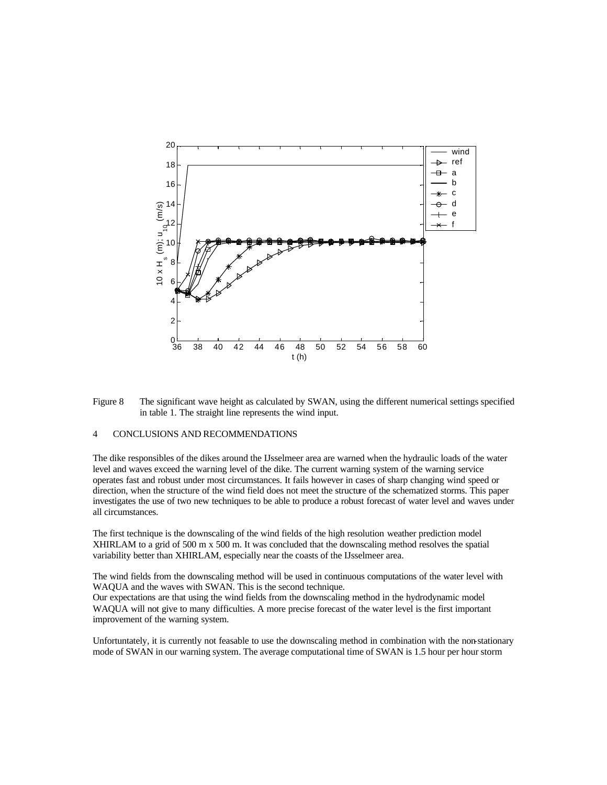



#### 4 CONCLUSIONS AND RECOMMENDATIONS

The dike responsibles of the dikes around the IJsselmeer area are warned when the hydraulic loads of the water level and waves exceed the warning level of the dike. The current warning system of the warning service operates fast and robust under most circumstances. It fails however in cases of sharp changing wind speed or direction, when the structure of the wind field does not meet the structure of the schematized storms. This paper investigates the use of two new techniques to be able to produce a robust forecast of water level and waves under all circumstances.

The first technique is the downscaling of the wind fields of the high resolution weather prediction model XHIRLAM to a grid of 500 m x 500 m. It was concluded that the downscaling method resolves the spatial variability better than XHIRLAM, especially near the coasts of the IJsselmeer area.

The wind fields from the downscaling method will be used in continuous computations of the water level with WAQUA and the waves with SWAN. This is the second technique.

Our expectations are that using the wind fields from the downscaling method in the hydrodynamic model WAQUA will not give to many difficulties. A more precise forecast of the water level is the first important improvement of the warning system.

Unfortuntately, it is currently not feasable to use the downscaling method in combination with the non-stationary mode of SWAN in our warning system. The average computational time of SWAN is 1.5 hour per hour storm